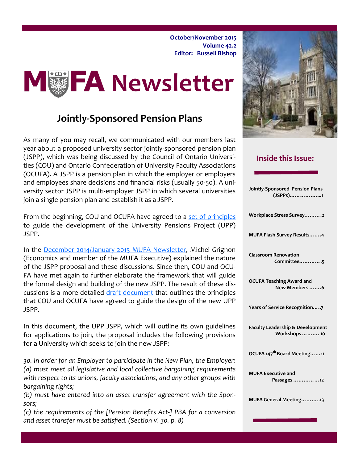**October/November 2015 Volume 42.2 Editor: Russell Bishop**



# **Jointly-Sponsored Pension Plans**

As many of you may recall, we communicated with our members last year about a proposed university sector jointly-sponsored pension plan (JSPP), which was being discussed by the Council of Ontario Universities (COU) and Ontario Confederation of University Faculty Associations (OCUFA). A JSPP is a pension plan in which the employer or employers and employees share decisions and financial risks (usually 50-50). A university sector JSPP is multi-employer JSPP in which several universities join a single pension plan and establish it as a JSPP.

From the beginning, COU and OCUFA have agreed to a [set of principles](http://ocufapensionreview.ca/Document.aspx?id=11992) to guide the development of the University Pensions Project (UPP) JSPP.

In the [December 2014/January 2015 MUFA Newsletter,](http://www.mcmaster.ca/mufa/documents/Dec-Jan2015Newsletter_001.pdf) Michel Grignon (Economics and member of the MUFA Executive) explained the nature of the JSPP proposal and these discussions. Since then, COU and OCU-FA have met again to further elaborate the framework that will guide the formal design and building of the new JSPP. The result of these discussions is a more detailed [draft document](http://ocufapensionreview.ca/Document.aspx?id=11628) that outlines the principles that COU and OCUFA have agreed to guide the design of the new UPP JSPP.

In this document, the UPP JSPP, which will outline its own guidelines for applications to join, the proposal includes the following provisions for a University which seeks to join the new JSPP:

*30. In order for an Employer to participate in the New Plan, the Employer: (a) must meet all legislative and local collective bargaining requirements with respect to its unions, faculty associations, and any other groups with bargaining rights;*

*(b) must have entered into an asset transfer agreement with the Sponsors;*

*(c) the requirements of the [Pension Benefits Act-] PBA for a conversion and asset transfer must be satisfied. (Section V. 30. p. 8)*



## **Inside this Issue:**

| Jointly-Sponsored Pension Plans<br>(JSPPs)1                      |
|------------------------------------------------------------------|
| Workplace Stress Survey2                                         |
| MUFA Flash Survey Results4                                       |
| <b>Classroom Renovation</b><br>Committee5                        |
| <b>OCUFA Teaching Award and</b><br>New Members 6                 |
| Years of Service Recognition7                                    |
| <b>Faculty Leadership &amp; Development</b><br>Workshops    . 10 |
| OCUFA 147 <sup>th</sup> Board Meeting11                          |
| <b>MUFA Executive and</b><br>Passages   12                       |
| MUFA General Meeting13                                           |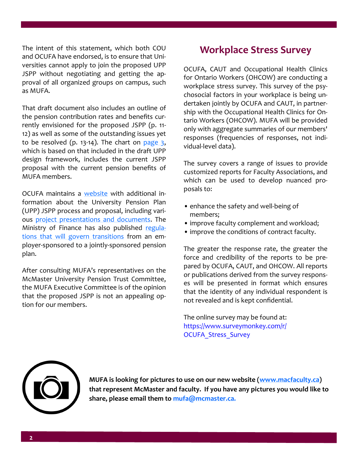The intent of this statement, which both COU and OCUFA have endorsed, is to ensure that Universities cannot apply to join the proposed UPP JSPP without negotiating and getting the approval of all organized groups on campus, such as MUFA.

That draft document also includes an outline of the pension contribution rates and benefits currently envisioned for the proposed JSPP (p. 11- 12) as well as some of the outstanding issues yet to be resolved (p. 13-14). The chart on [page 3,](#page-2-0) which is based on that included in the draft UPP design framework, includes the current JSPP proposal with the current pension benefits of MUFA members.

OCUFA maintains a [website](http://ocufapensionreview.ca/) with additional information about the University Pension Plan (UPP) JSPP process and proposal, including various [project presentations and documents.](http://ocufapensionreview.ca/DocumentLibrary.aspx) The Ministry of Finance has also published [regula](http://www.ontario.ca/laws/regulation/r15311)[tions that will govern transitions](http://www.ontario.ca/laws/regulation/r15311) from an employer-sponsored to a jointly-sponsored pension plan.

After consulting MUFA's representatives on the McMaster University Pension Trust Committee, the MUFA Executive Committee is of the opinion that the proposed JSPP is not an appealing option for our members.

# **Workplace Stress Survey**

OCUFA, CAUT and Occupational Health Clinics for Ontario Workers (OHCOW) are conducting a workplace stress survey. This survey of the psychosocial factors in your workplace is being undertaken jointly by OCUFA and CAUT, in partnership with the Occupational Health Clinics for Ontario Workers (OHCOW). MUFA will be provided only with aggregate summaries of our members' responses (frequencies of responses, not individual-level data).

The survey covers a range of issues to provide customized reports for Faculty Associations, and which can be used to develop nuanced proposals to:

- enhance the safety and well-being of members;
- improve faculty complement and workload;
- improve the conditions of contract faculty.

The greater the response rate, the greater the force and credibility of the reports to be prepared by OCUFA, CAUT, and OHCOW. All reports or publications derived from the survey responses will be presented in format which ensures that the identity of any individual respondent is not revealed and is kept confidential.

The online survey may be found at: [https://www.surveymonkey.com/r/](https://www.surveymonkey.com/r/OCUFA_Stress_Survey) [OCUFA\\_Stress\\_Survey](https://www.surveymonkey.com/r/OCUFA_Stress_Survey)



**MUFA is looking for pictures to use on our new website ([www.macfaculty.ca\)](http://www.macfaculty.ca)  that represent McMaster and faculty. If you have any pictures you would like to share, please email them to [mufa@mcmaster.ca.](mailto:mufa@mcmaster.ca)**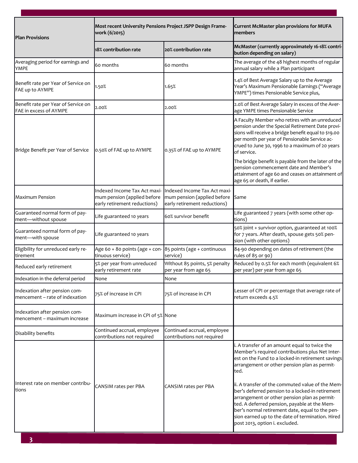<span id="page-2-0"></span>

| <b>Plan Provisions</b>                                          | Most recent University Pensions Project JSPP Design Frame-<br>work (6/2015)                 |                                                                                             | Current McMaster plan provisions for MUFA<br>members                                                                                                                                                                                                                                                                                                                                                                                                                                                                                                           |
|-----------------------------------------------------------------|---------------------------------------------------------------------------------------------|---------------------------------------------------------------------------------------------|----------------------------------------------------------------------------------------------------------------------------------------------------------------------------------------------------------------------------------------------------------------------------------------------------------------------------------------------------------------------------------------------------------------------------------------------------------------------------------------------------------------------------------------------------------------|
|                                                                 | 18% contribution rate                                                                       | 20% contribution rate                                                                       | McMaster (currently approximately 16-18% contri-<br>bution depending on salary)                                                                                                                                                                                                                                                                                                                                                                                                                                                                                |
| Averaging period for earnings and<br>YMPE                       | 60 months                                                                                   | 60 months                                                                                   | The average of the 48 highest months of regular<br>annual salary while a Plan participant                                                                                                                                                                                                                                                                                                                                                                                                                                                                      |
| Benefit rate per Year of Service on<br>FAE up to AYMPE          | 1.50%                                                                                       | 1.65%                                                                                       | 1.4% of Best Average Salary up to the Average<br>Year's Maximum Pensionable Earnings ("Average<br>YMPE") times Pensionable Service plus,                                                                                                                                                                                                                                                                                                                                                                                                                       |
| Benefit rate per Year of Service on<br>FAE in excess of AYMPE   | 2.00%                                                                                       | 2.00%                                                                                       | 2.0% of Best Average Salary in excess of the Aver-<br>age YMPE times Pensionable Service                                                                                                                                                                                                                                                                                                                                                                                                                                                                       |
| Bridge Benefit per Year of Service                              | 0.50% of FAE up to AYMPE                                                                    | 0.35% of FAE up to AYMPE                                                                    | A Faculty Member who retires with an unreduced<br>pension under the Special Retirement Date provi-<br>sions will receive a bridge benefit equal to \$19.00<br>per month per year of Pensionable Service ac-<br>crued to June 30, 1996 to a maximum of 20 years<br>of service.<br>The bridge benefit is payable from the later of the<br>pension commencement date and Member's<br>attainment of age 60 and ceases on attainment of                                                                                                                             |
|                                                                 |                                                                                             |                                                                                             | age 65 or death, if earlier.                                                                                                                                                                                                                                                                                                                                                                                                                                                                                                                                   |
| <b>Maximum Pension</b>                                          | Indexed Income Tax Act maxi-<br>mum pension (applied before<br>early retirement reductions) | Indexed Income Tax Act maxi-<br>mum pension (applied before<br>early retirement reductions) | Same                                                                                                                                                                                                                                                                                                                                                                                                                                                                                                                                                           |
| Guaranteed normal form of pay-<br>ment-without spouse           | Life guaranteed 10 years                                                                    | 60% survivor benefit                                                                        | Life guaranteed 7 years (with some other op-<br>tions)                                                                                                                                                                                                                                                                                                                                                                                                                                                                                                         |
| Guaranteed normal form of pay-<br>ment-with spouse              | Life guaranteed 10 years                                                                    |                                                                                             | 50% joint + survivor option, guaranteed at 100%<br>for 7 years. After death, spouse gets 50% pen-<br>sion (with other options)                                                                                                                                                                                                                                                                                                                                                                                                                                 |
| Eligibility for unreduced early re-<br>tirement                 | Age 60 + 80 points (age + con- $85$ points (age + continuous<br>tinuous service)            | service)                                                                                    | 84-90 depending on dates of retirement (the<br>rules of 85 or 90)                                                                                                                                                                                                                                                                                                                                                                                                                                                                                              |
| Reduced early retirement                                        | 5% per year from unreduced<br>early retirement rate                                         | Without 85 points, 5% penalty<br>per year from age 65                                       | Reduced by 0.5% for each month (equivalent 6%<br>per year) per year from age 65                                                                                                                                                                                                                                                                                                                                                                                                                                                                                |
| Indexation in the deferral period                               | <b>None</b>                                                                                 | inone                                                                                       |                                                                                                                                                                                                                                                                                                                                                                                                                                                                                                                                                                |
| Indexation after pension com-<br>mencement - rate of indexation | 75% of increase in CPI                                                                      | 75% of increase in CPI                                                                      | Lesser of CPI or percentage that average rate of<br>return exceeds 4.5%                                                                                                                                                                                                                                                                                                                                                                                                                                                                                        |
| Indexation after pension com-<br>mencement - maximum increase   | Maximum increase in CPI of 5% None                                                          |                                                                                             |                                                                                                                                                                                                                                                                                                                                                                                                                                                                                                                                                                |
| Disability benefits                                             | Continued accrual, employee<br>contributions not required                                   | Continued accrual, employee<br>contributions not required                                   |                                                                                                                                                                                                                                                                                                                                                                                                                                                                                                                                                                |
| Interest rate on member contribu-<br>tions                      | CANSIM rates per PBA                                                                        | CANSIM rates per PBA                                                                        | i. A transfer of an amount equal to twice the<br>Member's required contributions plus Net Inter-<br>est on the Fund to a locked-in retirement savings<br>arrangement or other pension plan as permit-<br>ted.<br>ii. A transfer of the commuted value of the Mem-<br>ber's deferred pension to a locked-in retirement<br>arrangement or other pension plan as permit-<br>ted. A deferred pension, payable at the Mem-<br>ber's normal retirement date, equal to the pen-<br>sion earned up to the date of termination. Hired<br>post 2013, option i. excluded. |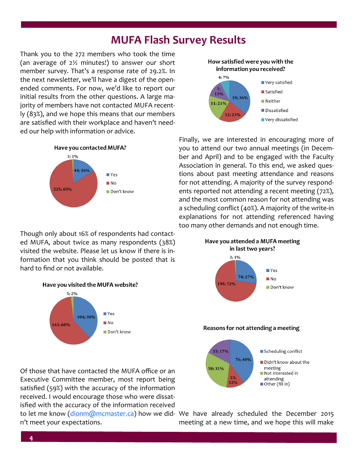# **MUFA Flash Survey Results**

Thank you to the 272 members who took the time (an average of 2½ minutes!) to answer our short member survey. That's a response rate of 29.2%. In the next newsletter, we'll have a digest of the openended comments. For now, we'd like to report our initial results from the other questions. A large majority of members have not contacted MUFA recently (83%), and we hope this means that our members are satisfied with their workplace and haven't needed our help with information or advice.



Though only about 16% of respondents had contacted MUFA, about twice as many respondents (38%) visited the website. Please let us know if there is information that you think should be posted that is hard to find or not available.



Of those that have contacted the MUFA office or an Executive Committee member, most report being satisfied (59%) with the accuracy of the information received. I would encourage those who were dissatisfied with the accuracy of the information received to let me know ([dionm@mcmaster.ca\)](mailto:dionm@mcmaster.ca) how we did- We have already scheduled the December 2015

n't meet your expectations.



Finally, we are interested in encouraging more of you to attend our two annual meetings (in December and April) and to be engaged with the Faculty Association in general. To this end, we asked questions about past meeting attendance and reasons for not attending. A majority of the survey respondents reported not attending a recent meeting (72%), and the most common reason for not attending was a scheduling conflict (40%). A majority of the write-in explanations for not attending referenced having too many other demands and not enough time.



meeting at a new time, and we hope this will make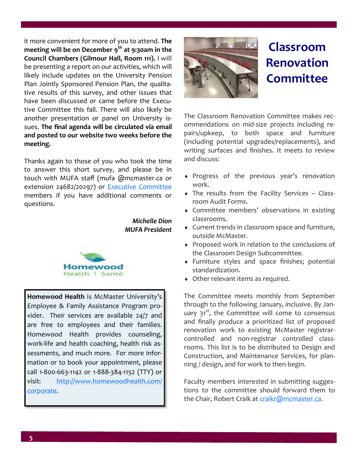it more convenient for more of you to attend. **The meeting will be on December 9th at 9:30am in the Council Chambers (Gilmour Hall, Room 111).** I will be presenting a report on our activities, which will likely include updates on the University Pension Plan Jointly Sponsored Pension Plan, the qualitative results of this survey, and other issues that have been discussed or came before the Executive Committee this fall. There will also likely be another presentation or panel on University issues. **The final agenda will be circulated via email and posted to our website two weeks before the meeting.**

Thanks again to those of you who took the time to answer this short survey, and please be in touch with MUFA staff (mufa @mcmaster.ca or extension 24682/20297) or [Executive Committee](http://macfaculty.ca/who-we-are/executive-committee/) members if you have additional comments or questions.

> *Michelle Dion MUFA President*



**Homewood Health** is McMaster University's Employee & Family Assistance Program provider. Their services are available 24/7 and are free to employees and their families. Homewood Health provides counseling, work-life and health coaching, health risk assessments, and much more. For more information or to book your appointment, please call 1-800-663-1142 or 1-888-384-1152 (TTY) or visit: [http://www.homewoodhealth.com/](http://www.homewoodhealth.com/corporate) [corporate.](http://www.homewoodhealth.com/corporate)



# **Classroom Renovation Committee**

The Classroom Renovation Committee makes recommendations on mid-size projects including repairs/upkeep, to both space and furniture (including potential upgrades/replacements), and writing surfaces and finishes. It meets to review and discuss:

- Progress of the previous year's renovation work.
- The results from the Facility Services Classroom Audit Forms.
- Committee members' observations in existing classrooms.
- Current trends in classroom space and furniture, outside McMaster.
- Proposed work in relation to the conclusions of the Classroom Design Subcommittee.
- Furniture styles and space finishes; potential standardization.
- Other relevant items as required.

The Committee meets monthly from September through to the following January, inclusive. By January  $31<sup>st</sup>$ , the Committee will come to consensus and finally produce a prioritized list of proposed renovation work to existing McMaster registrarcontrolled and non-registrar controlled classrooms. This list is to be distributed to Design and Construction, and Maintenance Services, for planning / design, and for work to then begin.

Faculty members interested in submitting suggestions to the committee should forward them to the Chair, Robert Craik at craikr@mcmaster.ca.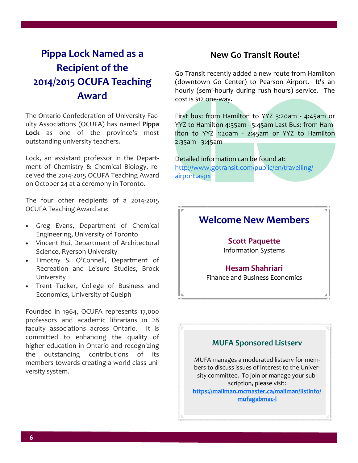# **Pippa Lock Named as a Recipient of the 2014/2015 OCUFA Teaching Award**

The Ontario Confederation of University Faculty Associations (OCUFA) has named **Pippa Lock** as one of the province's most outstanding university teachers.

Lock, an assistant professor in the Department of Chemistry & Chemical Biology, received the 2014-2015 OCUFA Teaching Award on October 24 at a ceremony in Toronto.

The four other recipients of a 2014-2015 OCUFA Teaching Award are:

- Greg Evans, Department of Chemical Engineering, University of Toronto
- Vincent Hui, Department of Architectural Science, Ryerson University
- Timothy S. O'Connell, Department of Recreation and Leisure Studies, Brock University
- Trent Tucker, College of Business and Economics, University of Guelph

Founded in 1964, OCUFA represents 17,000 professors and academic librarians in 28 faculty associations across Ontario. It is committed to enhancing the quality of higher education in Ontario and recognizing the outstanding contributions of its members towards creating a world-class university system.

# **New Go Transit Route!**

Go Transit recently added a new route from Hamilton (downtown Go Center) to Pearson Airport. It's an hourly (semi-hourly during rush hours) service. The cost is \$12 one-way.

First bus: from Hamilton to YYZ 3:20am - 4:45am or YYZ to Hamilton 4:35am - 5:45am Last Bus: from Hamilton to YYZ 1:20am - 2:45am or YYZ to Hamilton 2:35am - 3:45am

Detailed information can be found at: [http://www.gotransit.com/public/en/travelling/](http://www.gotransit.com/public/en/travelling/airport.aspx) [airport.aspx](http://www.gotransit.com/public/en/travelling/airport.aspx)



## **MUFA Sponsored Listserv**

MUFA manages a moderated listserv for members to discuss issues of interest to the University committee. To join or manage your subscription, please visit: **[https://mailman.mcmaster.ca/mailman/listinfo/](https://mailman.mcmaster.ca/mailman/listinfo/mufagabmac-l) [mufagabmac](https://mailman.mcmaster.ca/mailman/listinfo/mufagabmac-l)-l**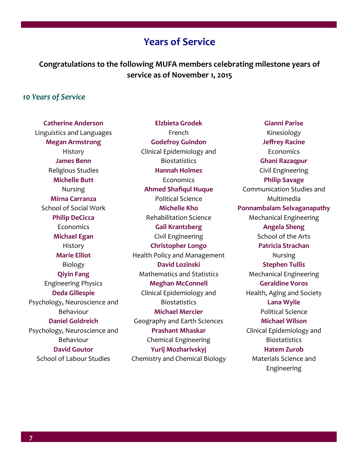# **Years of Service**

**Congratulations to the following MUFA members celebrating milestone years of service as of November 1, 2015**

**Elzbieta Grodek** 

#### *10 Years of Service*

**Catherine Anderson**  Linguistics and Languages **Megan Armstrong**  History **James Benn**  Religious Studies **Michelle Butt**  Nursing **Mirna Carranza**  School of Social Work **Philip DeCicca Economics Michael Egan**  History **Marie Elliot**  Biology **Qiyin Fang**  Engineering Physics **Deda Gillespie**  Psychology, Neuroscience and Behaviour **Daniel Goldreich**  Psychology, Neuroscience and Behaviour **David Goutor**  School of Labour Studies

French **Godefroy Guindon**  Clinical Epidemiology and **Biostatistics Hannah Holmes**  Economics **Ahmed Shafiqul Huque**  Political Science **Michelle Kho**  Rehabilitation Science **Gail Krantzberg**  Civil Engineering **Christopher Longo**  Health Policy and Management **David Lozinski**  Mathematics and Statistics **Meghan McConnell**  Clinical Epidemiology and **Biostatistics Michael Mercier**  Geography and Earth Sciences **Prashant Mhaskar**  Chemical Engineering **Yurij Mozharivskyj**  Chemistry and Chemical Biology

**Gianni Parise**  Kinesiology **Jeffrey Racine**  Economics **Ghani Razaqpur**  Civil Engineering **Philip Savage**  Communication Studies and Multimedia **Ponnambalam Selvaganapathy**  Mechanical Engineering **Angela Sheng**  School of the Arts **Patricia Strachan**  Nursing **Stephen Tullis**  Mechanical Engineering **Geraldine Voros**  Health, Aging and Society **Lana Wylie**  Political Science **Michael Wilson**  Clinical Epidemiology and **Biostatistics Hatem Zurob**  Materials Science and Engineering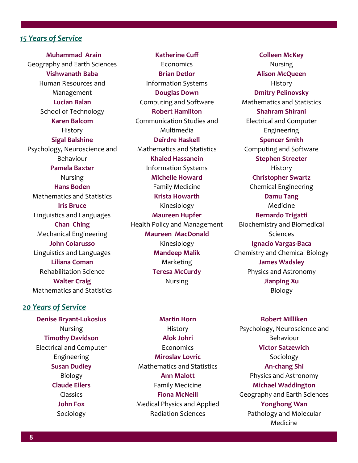#### *15 Years of Service*

 **Muhammad Arain**  Geography and Earth Sciences **Vishwanath Baba**  Human Resources and Management **Lucian Balan**  School of Technology **Karen Balcom**  History **Sigal Balshine**  Psychology, Neuroscience and Behaviour **Pamela Baxter**  Nursing **Hans Boden**  Mathematics and Statistics **Iris Bruce**  Linguistics and Languages **Chan Ching**  Mechanical Engineering **John Colarusso**  Linguistics and Languages **Liliana Coman**  Rehabilitation Science **Walter Craig**  Mathematics and Statistics

#### *20 Years of Service*

**Denise Bryant-Lukosius**  Nursing **Timothy Davidson**  Electrical and Computer Engineering **Susan Dudley**  Biology **Claude Eilers**  Classics **John Fox**  Sociology

**Katherine Cuff Economics Brian Detlor**  Information Systems **Douglas Down**  Computing and Software **Robert Hamilton**  Communication Studies and Multimedia **Deirdre Haskell**  Mathematics and Statistics **Khaled Hassanein**  Information Systems **Michelle Howard**  Family Medicine **Krista Howarth**  Kinesiology **Maureen Hupfer**  Health Policy and Management **Maureen MacDonald**  Kinesiology **Mandeep Malik**  Marketing **Teresa McCurdy**  Nursing

**Martin Horn**  History **Alok Johri**  Economics **Miroslav Lovric**  Mathematics and Statistics **Ann Malott**  Family Medicine **Fiona McNeill**  Medical Physics and Applied Radiation Sciences

**Colleen McKey**  Nursing **Alison McQueen**  History **Dmitry Pelinovsky**  Mathematics and Statistics **Shahram Shirani**  Electrical and Computer Engineering **Spencer Smith**  Computing and Software **Stephen Streeter**  History **Christopher Swartz**  Chemical Engineering **Damu Tang**  Medicine **Bernardo Trigatti**  Biochemistry and Biomedical Sciences **Ignacio Vargas-Baca**  Chemistry and Chemical Biology **James Wadsley**  Physics and Astronomy **Jianping Xu**  Biology

**Robert Milliken**  Psychology, Neuroscience and Behaviour **Victor Satzewich**  Sociology **An-chang Shi**  Physics and Astronomy **Michael Waddington**  Geography and Earth Sciences **Yonghong Wan**  Pathology and Molecular Medicine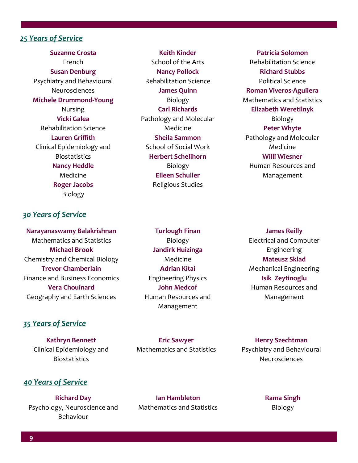## *25 Years of Service*

**Suzanne Crosta**  French **Susan Denburg**  Psychiatry and Behavioural Neurosciences **Michele Drummond-Young**  Nursing **Vicki Galea**  Rehabilitation Science **Lauren Griffith**  Clinical Epidemiology and **Biostatistics Nancy Heddle**  Medicine **Roger Jacobs**  Biology

## *30 Years of Service*

**Narayanaswamy Balakrishnan**  Mathematics and Statistics **Michael Brook**  Chemistry and Chemical Biology **Trevor Chamberlain**  Finance and Business Economics **Vera Chouinard**  Geography and Earth Sciences

# **Turlough Finan**  Biology **Jandirk Huizinga**  Medicine **Adrian Kitai**  Engineering Physics **John Medcof**  Human Resources and Management

**Keith Kinder**  School of the Arts **Nancy Pollock**  Rehabilitation Science **James Quinn**  Biology **Carl Richards**  Pathology and Molecular Medicine **Sheila Sammon** School of Social Work **Herbert Schellhorn**  Biology **Eileen Schuller**  Religious Studies

**Patricia Solomon**  Rehabilitation Science **Richard Stubbs**  Political Science **Roman Viveros-Aguilera**  Mathematics and Statistics **Elizabeth Weretilnyk**  Biology **Peter Whyte**  Pathology and Molecular Medicine **Willi Wiesner**  Human Resources and Management

**James Reilly**  Electrical and Computer Engineering **Mateusz Sklad**  Mechanical Engineering **Isik Zeytinoglu**  Human Resources and Management

#### *35 Years of Service*

**Kathryn Bennett**  Clinical Epidemiology and **Biostatistics** 

**Eric Sawyer**  Mathematics and Statistics

**Henry Szechtman**  Psychiatry and Behavioural Neurosciences

#### *40 Years of Service*

**Richard Day**  Psychology, Neuroscience and Behaviour

**Ian Hambleton**  Mathematics and Statistics **Rama Singh**  Biology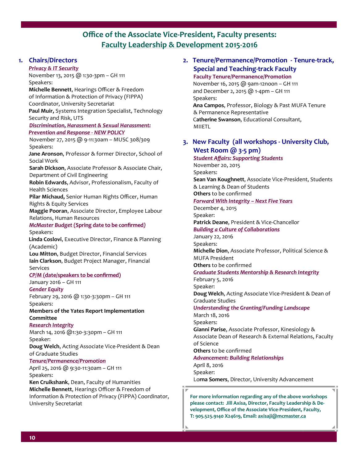# **Office of the Associate Vice-President, Faculty presents: Faculty Leadership & Development 2015-2016**

#### **1. Chairs/Directors**

*Privacy & IT Security*

November 13, 2015 @ 1:30-3pm – GH 111 Speakers:

 **Michelle Bennett**, Hearings Officer & Freedom of Information & Protection of Privacy (FIPPA) Coordinator, University Secretariat **Paul Muir,** Systems Integration Specialist, Technology

Security and Risk, UTS

#### *Discrimination, Harassment & Sexual Harassment: Prevention and Response - NEW POLICY*

November 27, 2015 @ 9-11:30am – MUSC 308/309 Speakers:

 **Jane Aronson**, Professor & former Director, School of Social Work

**Sarah Dickson**, Associate Professor & Associate Chair, Department of Civil Engineering

**Robin Edwards**, Advisor, Professionalism, Faculty of Health Sciences

**Pilar Michaud,** Senior Human Rights Officer, Human Rights & Equity Services

**Maggie Pooran**, Associate Director, Employee Labour Relations, Human Resources

*McMaster Budget* **(Spring date to be confirmed***)*  Speakers:

 **Linda Coslovi**, Executive Director, Finance & Planning (Academic)

**Lou Mitton**, Budget Director, Financial Services **Iain Clarkson**, Budget Project Manager, Financial Services

#### *CP/M* **(date/speakers to be confirmed)**

January 2016 – GH 111

#### *Gender Equity*

February 29, 2016 @ 1:30-3:30pm – GH 111 Speakers:

**Members of the Yates Report Implementation Committee**

#### *Research Integrity*

March 14, 2016 @1:30-3:30pm – GH 111 Speaker:

**Doug Welch**, Acting Associate Vice-President & Dean of Graduate Studies

#### *Tenure/Permanence/Promotion*

April 25, 2016 @ 9:30-11:30am – GH 111 Speakers:

**Ken Cruikshank**, Dean, Faculty of Humanities **Michelle Bennett**, Hearings Officer & Freedom of Information & Protection of Privacy (FIPPA) Coordinator, University Secretariat

## **2. Tenure/Permanence/Promotion - Tenure-track, Special and Teaching-track Faculty**

#### **Faculty Tenure/Permanence/Promotion**

 November 16, 2015 @ 9am-12noon – GH 111 and December 2, 2015 @ 1-4pm – GH 111 Speakers: **Ana Campos**, Professor, Biology & Past MUFA Tenure & Permanence Representative C**atherine Swanson**, Educational Consultant,

MIIETL

#### **3. New Faculty (all workshops - University Club, West Room @ 3-5 pm)**

*Student Affairs: Supporting Students*  November 20, 2015

Speakers:

**Sean Van Koughnett**, Associate Vice-President, Students & Learning & Dean of Students **Others** to be confirmed

#### *Forward With Integrity – Next Five Years*

December 4, 2015

Speaker: **Patrick Deane**, President & Vice-Chancellor

*Building a Culture of Collaborations*

January 22, 2016

Speakers:

**Michelle Dion**, Associate Professor, Political Science & MUFA President

**Others** to be confirmed

#### *Graduate Students Mentorship & Research Integrity*

February 5, 2016 Speaker:

**Doug Welch**, Acting Associate Vice-President & Dean of Graduate Studies

*Understanding the Granting/Funding Landscape*

March 18, 2016

Speakers:

**Gianni Parise**, Associate Professor, Kinesiology & Associate Dean of Research & External Relations, Faculty of Science

#### **Others** to be confirmed

*Advancement: Building Relationships*

April 8, 2016

Speaker:

Lo**rna Somers**, Director, University Advancement

**For more information regarding any of the above workshops please contact: Jill Axisa, Director, Faculty Leadership & Development, Office of the Associate Vice-President, Faculty, T: 905.525.9140 X24619, Email: [axisaji@mcmaster.ca](mailto:axisaji@mcmaster.ca)**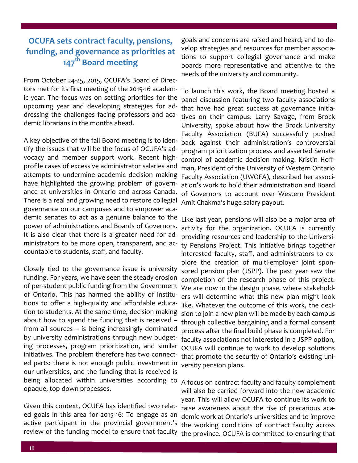# **OCUFA sets contract faculty, pensions, funding, and governance as priorities at 147th Board meeting**

From October 24-25, 2015, OCUFA's Board of Directors met for its first meeting of the 2015-16 academic year. The focus was on setting priorities for the upcoming year and developing strategies for addressing the challenges facing professors and academic librarians in the months ahead.

A key objective of the fall Board meeting is to identify the issues that will be the focus of OCUFA's advocacy and member support work. Recent highprofile cases of excessive administrator salaries and attempts to undermine academic decision making have highlighted the growing problem of governance at universities in Ontario and across Canada. There is a real and growing need to restore collegial governance on our campuses and to empower academic senates to act as a genuine balance to the power of administrations and Boards of Governors. It is also clear that there is a greater need for administrators to be more open, transparent, and accountable to students, staff, and faculty.

Closely tied to the governance issue is university funding. For years, we have seen the steady erosion of per-student public funding from the Government of Ontario. This has harmed the ability of institutions to offer a high-quality and affordable education to students. At the same time, decision making about how to spend the funding that is received – from all sources – is being increasingly dominated by university administrations through new budgeting processes, program prioritization, and similar initiatives. The problem therefore has two connected parts: there is not enough public investment in our universities, and the funding that is received is being allocated within universities according to opaque, top-down processes.

Given this context, OCUFA has identified two related goals in this area for 2015-16: To engage as an active participant in the provincial government's review of the funding model to ensure that faculty

goals and concerns are raised and heard; and to develop strategies and resources for member associations to support collegial governance and make boards more representative and attentive to the needs of the university and community.

To launch this work, the Board meeting hosted a panel discussion featuring two faculty associations that have had great success at governance initiatives on their campus. Larry Savage, from Brock University, spoke about how the Brock University Faculty Association (BUFA) successfully pushed back against their administration's controversial program prioritization process and asserted Senate control of academic decision making. Kristin Hoffman, President of the University of Western Ontario Faculty Association (UWOFA), described her association's work to hold their administration and Board of Governors to account over Western President Amit Chakma's huge salary payout.

Like last year, pensions will also be a major area of activity for the organization. OCUFA is currently providing resources and leadership to the University Pensions Project. This initiative brings together interested faculty, staff, and administrators to explore the creation of multi-employer joint sponsored pension plan (JSPP). The past year saw the completion of the research phase of this project. We are now in the design phase, where stakeholders will determine what this new plan might look like. Whatever the outcome of this work, the decision to join a new plan will be made by each campus through collective bargaining and a formal consent process after the final build phase is completed. For faculty associations not interested in a JSPP option, OCUFA will continue to work to develop solutions that promote the security of Ontario's existing university pension plans.

A focus on contract faculty and faculty complement will also be carried forward into the new academic year. This will allow OCUFA to continue its work to raise awareness about the rise of precarious academic work at Ontario's universities and to improve the working conditions of contract faculty across the province. OCUFA is committed to ensuring that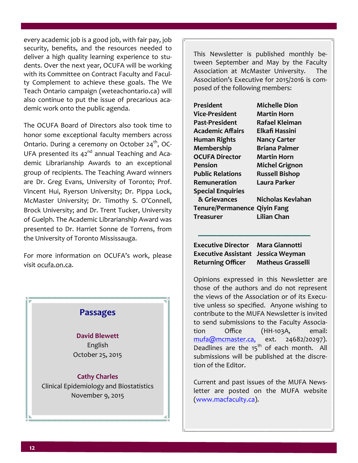every academic job is a good job, with fair pay, job security, benefits, and the resources needed to deliver a high quality learning experience to students. Over the next year, OCUFA will be working with its Committee on Contract Faculty and Faculty Complement to achieve these goals. The We Teach Ontario campaign (weteachontario.ca) will also continue to put the issue of precarious academic work onto the public agenda.

The OCUFA Board of Directors also took time to honor some exceptional faculty members across Ontario. During a ceremony on October  $24<sup>th</sup>$ , OC-UFA presented its 42<sup>nd</sup> annual Teaching and Academic Librarianship Awards to an exceptional group of recipients. The Teaching Award winners are Dr. Greg Evans, University of Toronto; Prof. Vincent Hui, Ryerson University; Dr. Pippa Lock, McMaster University; Dr. Timothy S. O'Connell, Brock University; and Dr. Trent Tucker, University of Guelph. The Academic Librarianship Award was presented to Dr. Harriet Sonne de Torrens, from the University of Toronto Mississauga.

For more information on OCUFA's work, please visit [ocufa.on.ca.](http://www.ocufa.on.ca)



This Newsletter is published monthly between September and May by the Faculty Association at McMaster University. The Association's Executive for 2015/2016 is composed of the following members:

| President                           | <b>Michelle Dion</b>  |
|-------------------------------------|-----------------------|
| Vice-President                      | Martin Horn           |
| Past-President                      | Rafael Kleiman        |
| <b>Academic Affairs</b>             | Elkafi Hassini        |
| <b>Human Rights</b>                 | <b>Nancy Carter</b>   |
| <b>Membership</b>                   | Briana Palmer         |
| <b>OCUFA Director</b>               | Martin Horn           |
| Pension                             | <b>Michel Grignon</b> |
| <b>Public Relations</b>             | <b>Russell Bishop</b> |
| Remuneration                        | Laura Parker          |
| <b>Special Enquiries</b>            |                       |
| & Grievances                        | Nicholas Kevlahan     |
| <b>Tenure/Permanence Qiyin Fang</b> |                       |
| Treasurer                           | Lilian Chan           |
|                                     |                       |

**Executive Director Mara Giannotti Executive Assistant Jessica Weyman Returning Officer Matheus Grasselli**

 **————————————**

Opinions expressed in this Newsletter are those of the authors and do not represent the views of the Association or of its Executive unless so specified. Anyone wishing to contribute to the MUFA Newsletter is invited to send submissions to the Faculty Association Office (HH-103A, email: [mufa@mcmaster.ca,](mailto:mufa@mcmaster.ca,) ext. 24682/20297). Deadlines are the  $15<sup>th</sup>$  of each month. All submissions will be published at the discretion of the Editor.

Current and past issues of the MUFA Newsletter are posted on the MUFA website [\(www.macfaculty.ca\)](http://www.macfaculty.ca/).